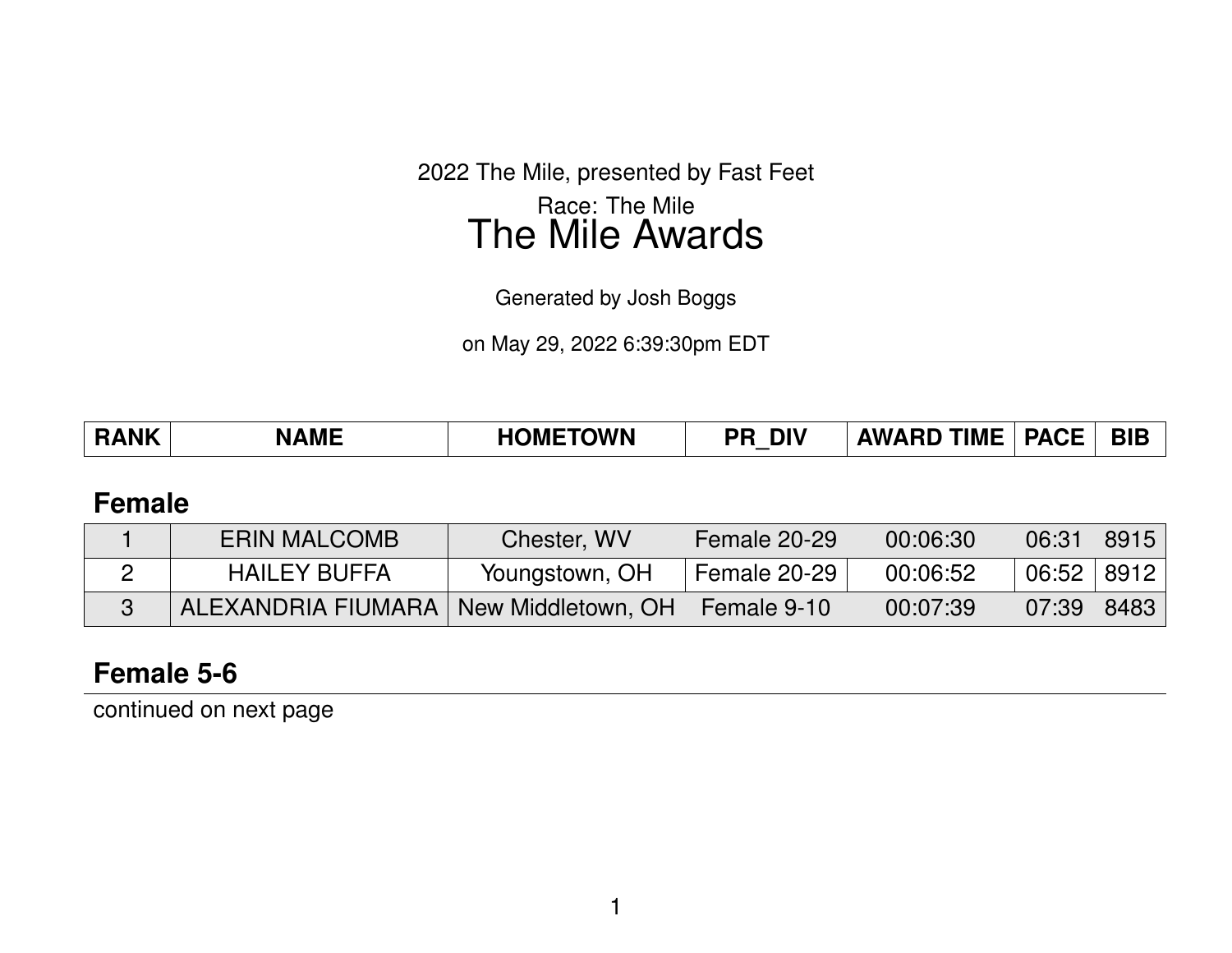2022 The Mile, presented by Fast Feet Race: The Mile The Mile Awards

Generated by Josh Boggs

on May 29, 2022 6:39:30pm EDT

#### **Female**

| <b>ERIN MALCOMB</b>                     | Chester, WV    | Female 20-29 | 00:06:30 | 06:31          | 8915 |
|-----------------------------------------|----------------|--------------|----------|----------------|------|
| <b>HAILEY BUFFA</b>                     | Youngstown, OH | Female 20-29 | 00:06:52 | $06:52$   8912 |      |
| ALEXANDRIA FIUMARA   New Middletown, OH |                | Female 9-10  | 00:07:39 | 07:39          | 8483 |

### **Female 5-6**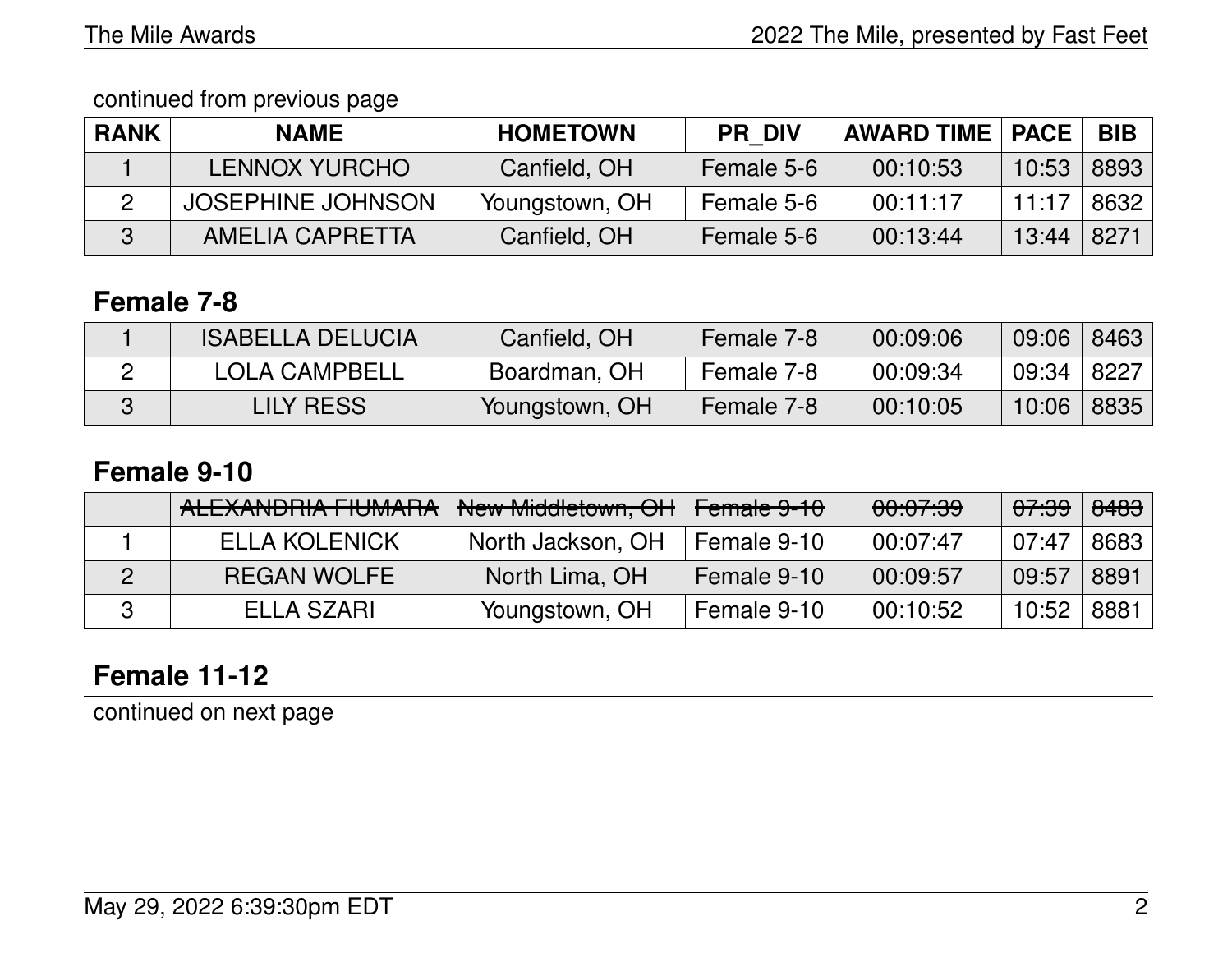continued from previous page

| <b>RANK</b> | <b>NAME</b>              | <b>HOMETOWN</b> | <b>PR DIV</b> | <b>AWARD TIME   PACE</b> |       | <b>BIB</b> |
|-------------|--------------------------|-----------------|---------------|--------------------------|-------|------------|
|             | <b>LENNOX YURCHO</b>     | Canfield, OH    | Female 5-6    | 00:10:53                 | 10:53 | 8893       |
|             | <b>JOSEPHINE JOHNSON</b> | Youngstown, OH  | Female 5-6    | 00:11:17                 | 11:17 | 8632       |
|             | AMELIA CAPRETTA          | Canfield, OH    | Female 5-6    | 00:13:44                 | 13:44 | 8271       |

### **Female 7-8**

| <b>ISABELLA DELUCIA</b> | Canfield, OH   | Female 7-8 | 00:09:06 | 09:06 | 8463 |
|-------------------------|----------------|------------|----------|-------|------|
| <b>LOLA CAMPBELL</b>    | Boardman, OH   | Female 7-8 | 00:09:34 | 09:34 | 8227 |
| LILY RESS               | Youngstown, OH | Female 7-8 | 00:10:05 | 10:06 | 8835 |

### **Female 9-10**

| <b>ALEXANDRIA FIUMARA</b> | New Middletown, OH | Female 9-10 | 00:07:39 | <del>07:39</del> | <del>8483</del> |
|---------------------------|--------------------|-------------|----------|------------------|-----------------|
| <b>ELLA KOLENICK</b>      | North Jackson, OH  | Female 9-10 | 00:07:47 | 07:47            | 8683            |
| <b>REGAN WOLFE</b>        | North Lima, OH     | Female 9-10 | 00:09:57 | 09:57            | 8891            |
| ELLA SZARI                | Youngstown, OH     | Female 9-10 | 00:10:52 | 10:52            | 8881            |

# **Female 11-12**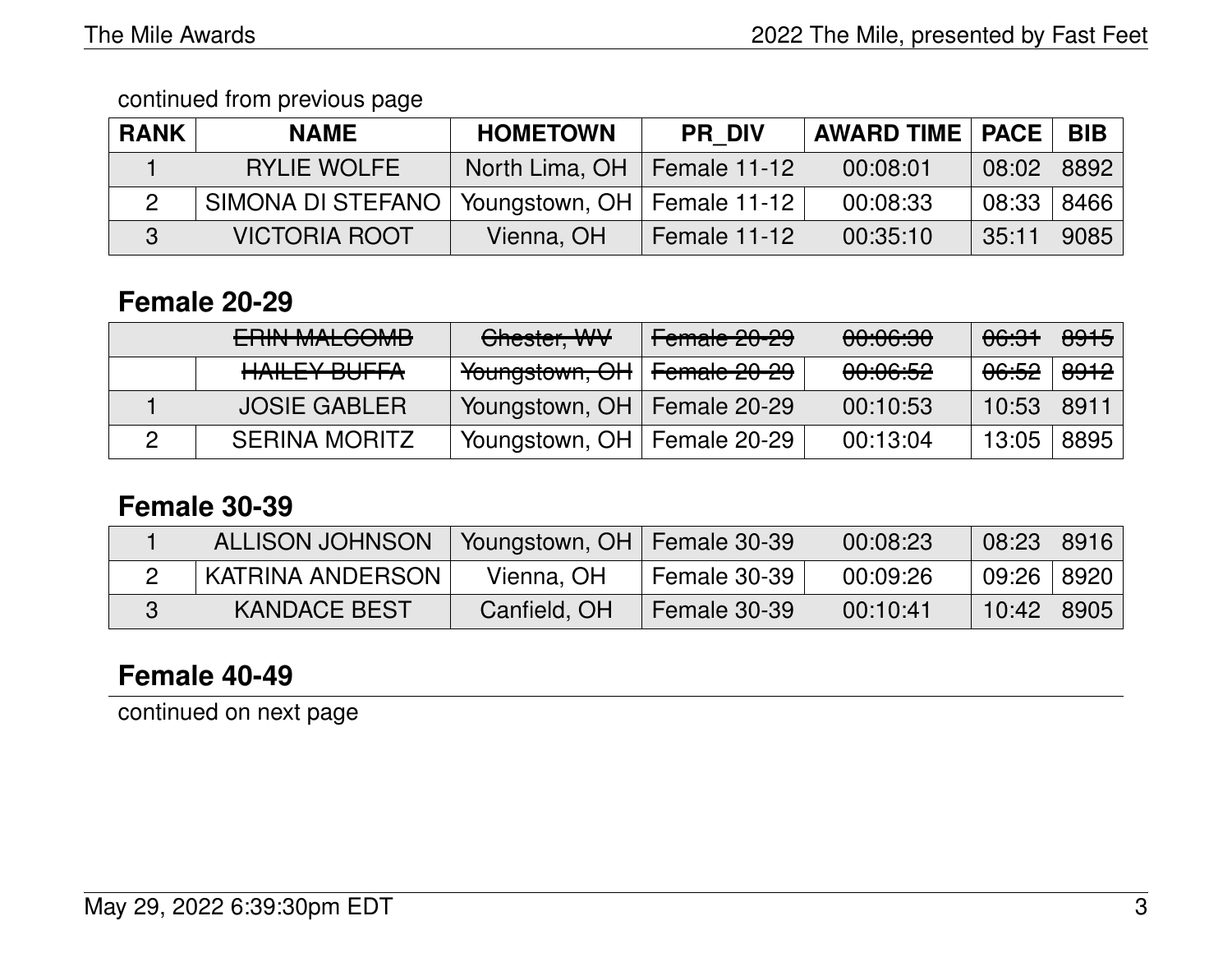#### continued from previous page

| <b>RANK</b> | <b>NAME</b>          | <b>HOMETOWN</b>               | <b>PR DIV</b> | <b>AWARD TIME   PACE  </b> |       | BIB  |
|-------------|----------------------|-------------------------------|---------------|----------------------------|-------|------|
|             | <b>RYLIE WOLFE</b>   | North Lima, OH   Female 11-12 |               | 00:08:01                   | 08:02 | 8892 |
|             | SIMONA DI STEFANO    | Youngstown, OH   Female 11-12 |               | 00:08:33                   | 08:33 | 8466 |
|             | <b>VICTORIA ROOT</b> | Vienna, OH                    | Female 11-12  | 00:35:10                   | 35:11 | 9085 |

# **Female 20-29**

| <b>EDINIMAL COMP.</b><br><b>LITTIN IVIALUUIVID</b> | Chester, WV                                         | Female 20-29 | 00:06:30            | <del>06:31</del>                     | 8915 |
|----------------------------------------------------|-----------------------------------------------------|--------------|---------------------|--------------------------------------|------|
| HAILEY BUFFA                                       | <del>Youngstown, OH</del>   <del>Female 20-29</del> |              | <del>00:06:52</del> | <del>06:52</del> ∣ <del>8912</del> ∣ |      |
| <b>JOSIE GABLER</b>                                | Youngstown, OH   Female 20-29                       |              | 00:10:53            | 10:53   8911                         |      |
| <b>SERINA MORITZ</b>                               | Youngstown, OH   Female 20-29                       |              | 00:13:04            | 13:05                                | 8895 |

#### **Female 30-39**

| ALLISON JOHNSON   Youngstown, OH   Female 30-39 |              |              | 00:08:23 | 08:23 8916     |  |
|-------------------------------------------------|--------------|--------------|----------|----------------|--|
| <b>KATRINA ANDERSON</b>                         | Vienna, OH   | Female 30-39 | 00:09:26 | 09:26   8920   |  |
| <b>KANDACE BEST</b>                             | Canfield, OH | Female 30-39 | 00:10:41 | $10:42$   8905 |  |

# **Female 40-49**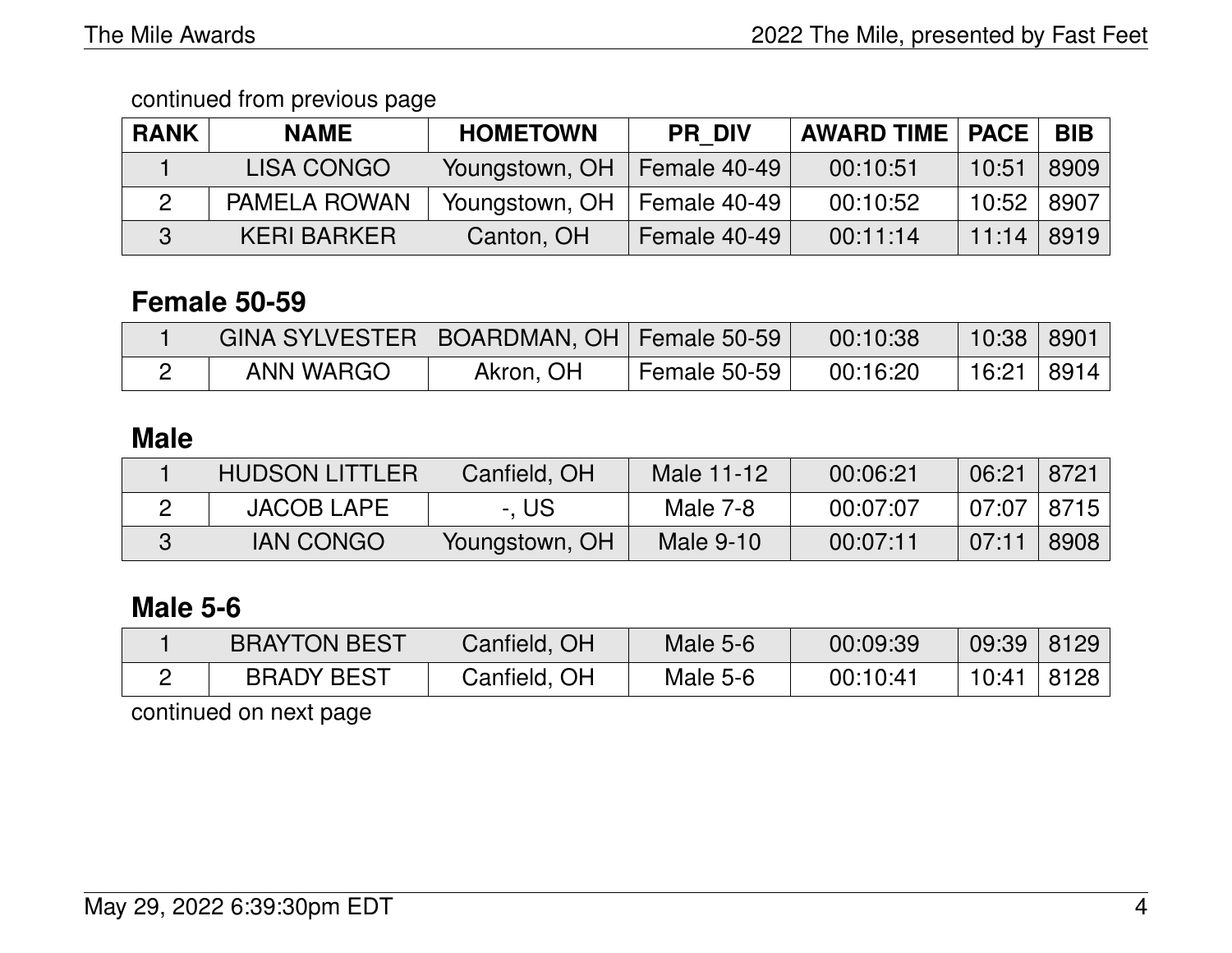continued from previous page

| <b>RANK</b> | <b>NAME</b>         | <b>HOMETOWN</b> | <b>PR DIV</b> | <b>AWARD TIME   PACE</b> |       | <b>BIB</b> |
|-------------|---------------------|-----------------|---------------|--------------------------|-------|------------|
|             | <b>LISA CONGO</b>   | Youngstown, OH  | Female 40-49  | 00:10:51                 | 10:51 | 8909       |
|             | <b>PAMELA ROWAN</b> | Youngstown, OH  | Female 40-49  | 00:10:52                 | 10:52 | 8907       |
|             | <b>KERI BARKER</b>  | Canton, OH      | Female 40-49  | 00:11:14                 | 11:14 | 8919       |

# **Female 50-59**

| GINA SYLVESTER   BOARDMAN, OH   Female 50-59 |           |              | 00:10:38 | $10:38$ 8901 |  |
|----------------------------------------------|-----------|--------------|----------|--------------|--|
| <b>ANN WARGO</b>                             | Akron, OH | Female 50-59 | 00:16:20 | 16:21 8914   |  |

# **Male**

| <b>HUDSON LITTLER</b> | Canfield, OH   | Male 11-12 | 00:06:21 | 06:21          | 8721 |
|-----------------------|----------------|------------|----------|----------------|------|
| <b>JACOB LAPE</b>     | -. US          | Male 7-8   | 00:07:07 | $07:07$   8715 |      |
| <b>IAN CONGO</b>      | Youngstown, OH | Male 9-10  | 00:07:11 | 07:11          | 8908 |

# **Male 5-6**

| <b>BRAYTON BEST</b> | Canfield, OH | Male $5-6$ | 00:09:39 | 09:39   8129 |      |
|---------------------|--------------|------------|----------|--------------|------|
| <b>BRADY BEST</b>   | Canfield, OH | Male 5-6   | 00:10:41 | 10:41        | 8128 |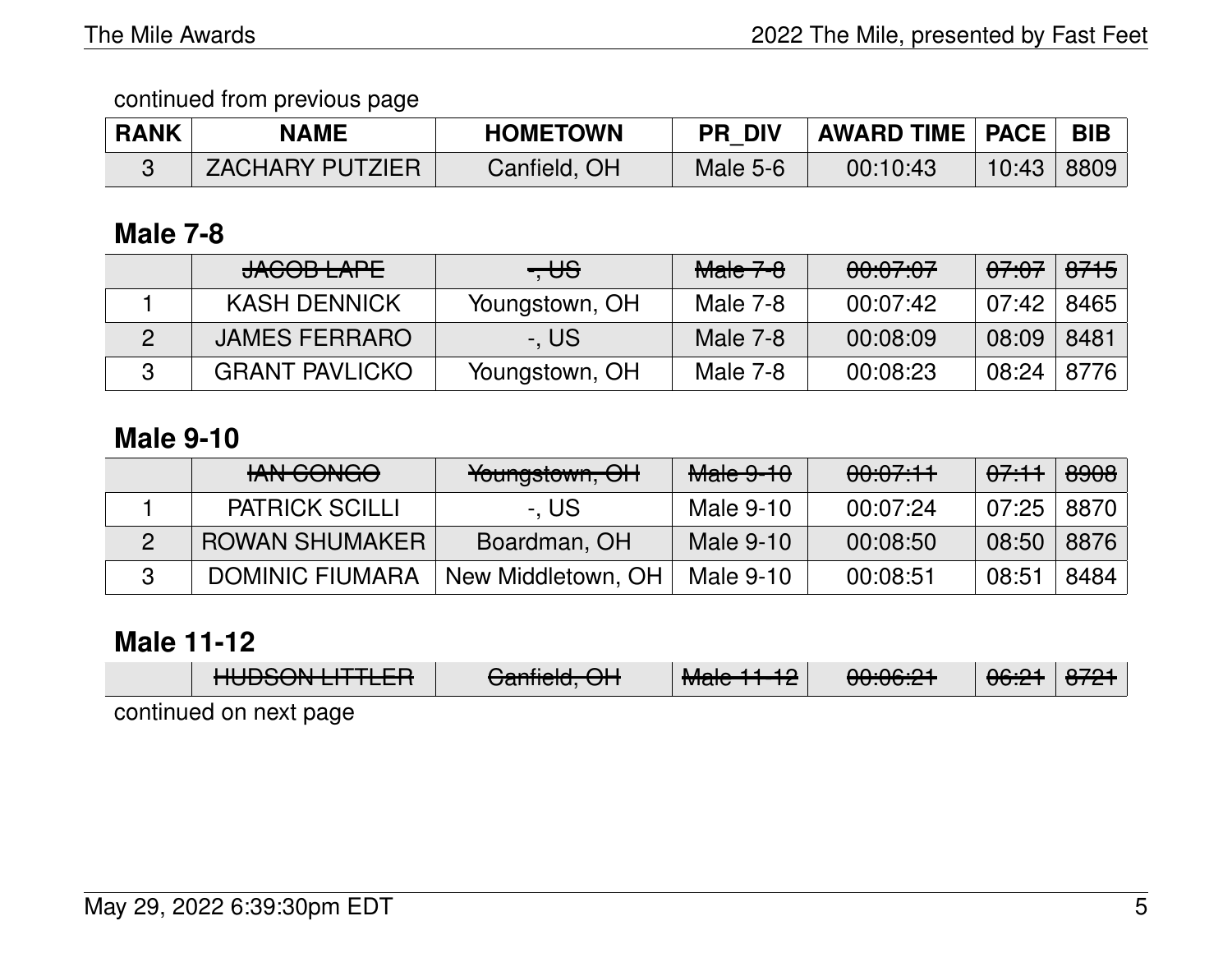#### continued from previous page

| <b>RANK</b> | <b>NAME</b>     | <b>HOMETOWN</b> | <b>PR DIV</b> | AWARD TIME   PACE   BIB |       |      |
|-------------|-----------------|-----------------|---------------|-------------------------|-------|------|
|             | ZACHARY PUTZIER | Canfield, OH    | Male 5-6      | 00:10:43                | 10:43 | 8809 |

### **Male 7-8**

| JAGOB LAPE            | $- \theta$     | <del>Male 7-8</del> | 00:07:07 | <del>07:07</del> | <del>8715</del> |
|-----------------------|----------------|---------------------|----------|------------------|-----------------|
| <b>KASH DENNICK</b>   | Youngstown, OH | Male 7-8            | 00:07:42 | 07:42            | 8465            |
| <b>JAMES FERRARO</b>  | -. US          | Male 7-8            | 00:08:09 | 08:09            | 8481            |
| <b>GRANT PAVLICKO</b> | Youngstown, OH | Male 7-8            | 00:08:23 | 08:24            | 8776            |

## **Male 9-10**

| <b>HAN CONGO</b>       | Youngstown, OH     | <b>Male 9-10</b> | 00:07:11 | 07.11        | <del>8908</del> |
|------------------------|--------------------|------------------|----------|--------------|-----------------|
| <b>PATRICK SCILLI</b>  | -. US              | Male 9-10        | 00:07:24 | 07:25   8870 |                 |
| <b>ROWAN SHUMAKER</b>  | Boardman, OH       | Male 9-10        | 00:08:50 | 08:50        | 8876            |
| <b>DOMINIC FIUMARA</b> | New Middletown, OH | Male 9-10        | 00:08:51 | 08:51        | 8484            |

### **Male 11-12**

|                        | $\blacksquare$<br><b>NUPOUT LITTLETT</b> | $O_{\text{c}}$ alialah $O(1)$<br><del>Uanneru, Urr</del> | <del>Male 11-12</del> | 0.00.01<br><del>uu.uu.zi</del> | <del>06:21</del> | 2704<br>$\overline{OPT}$ |
|------------------------|------------------------------------------|----------------------------------------------------------|-----------------------|--------------------------------|------------------|--------------------------|
| continued on next page |                                          |                                                          |                       |                                |                  |                          |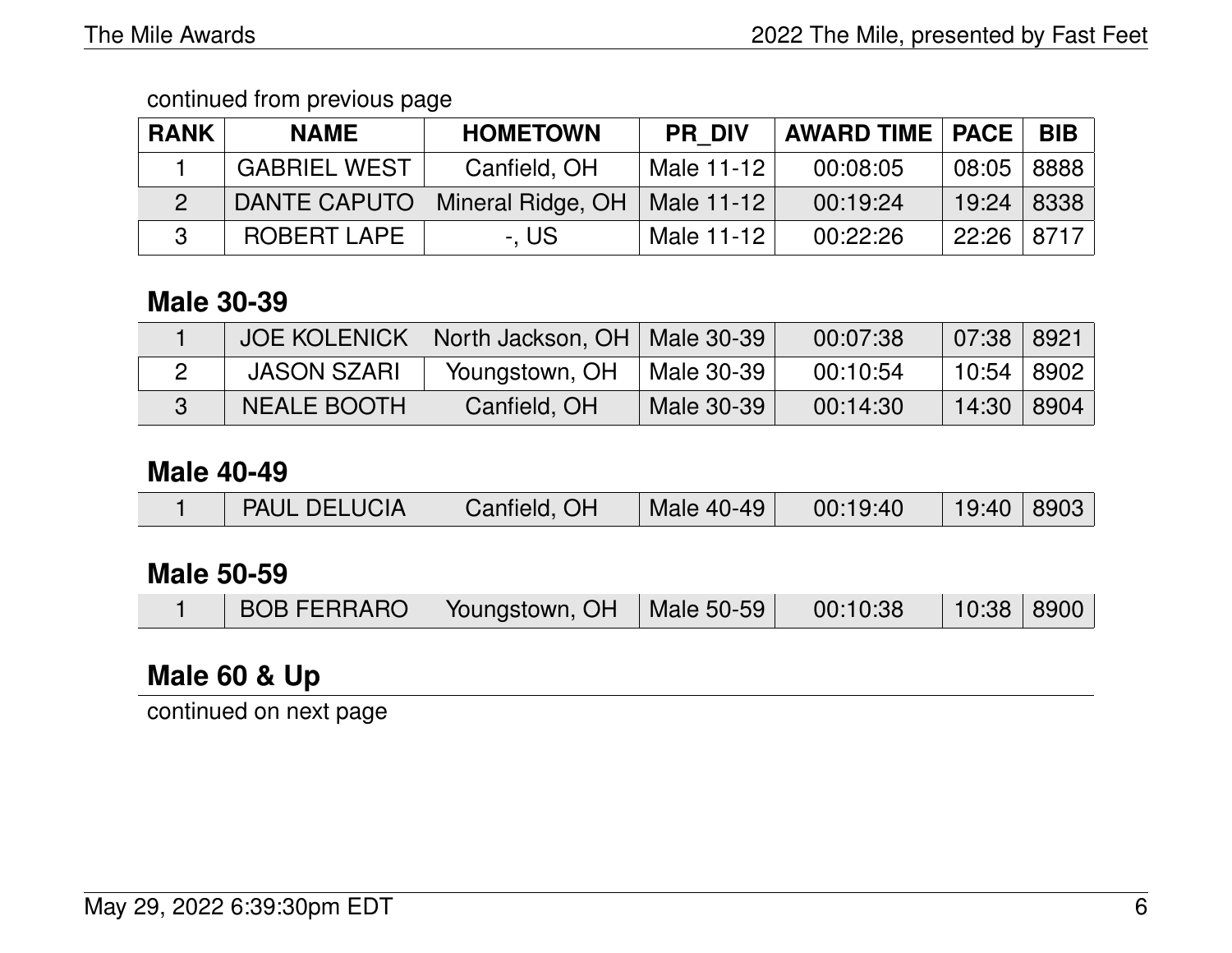#### continued from previous page

| <b>RANK</b> | <b>NAME</b>         | <b>HOMETOWN</b>   | <b>PR DIV</b> | <b>AWARD TIME   PACE  </b> |              | <b>BIB</b> |
|-------------|---------------------|-------------------|---------------|----------------------------|--------------|------------|
|             | <b>GABRIEL WEST</b> | Canfield, OH      | Male 11-12    | 00:08:05                   | 08:05   8888 |            |
|             | DANTE CAPUTO        | Mineral Ridge, OH | Male 11-12    | 00:19:24                   | 19:24 8338   |            |
|             | <b>ROBERT LAPE</b>  | -. US             | Male 11-12    | 00:22:26                   | 22:26   8717 |            |

### **Male 30-39**

| <b>JOE KOLENICK</b> | North Jackson, OH   Male 30-39 |            | 00:07:38 | 07:38 8921   |  |
|---------------------|--------------------------------|------------|----------|--------------|--|
| <b>JASON SZARI</b>  | Youngstown, OH                 | Male 30-39 | 00:10:54 | 10:54   8902 |  |
| <b>NEALE BOOTH</b>  | Canfield, OH                   | Male 30-39 | 00:14:30 | 14:30   8904 |  |

#### **Male 40-49**

|  | <b>PAUL DELUCIA</b> | Canfield, OH | Male 40-49 | 00:19:40 | 19:40 8903 |  |
|--|---------------------|--------------|------------|----------|------------|--|
|--|---------------------|--------------|------------|----------|------------|--|

### **Male 50-59**

|  |  | BOB FERRARO   Youngstown, OH   Male 50-59 |  | 00:10:38 | 10:38 8900 |  |
|--|--|-------------------------------------------|--|----------|------------|--|
|--|--|-------------------------------------------|--|----------|------------|--|

# **Male 60 & Up**